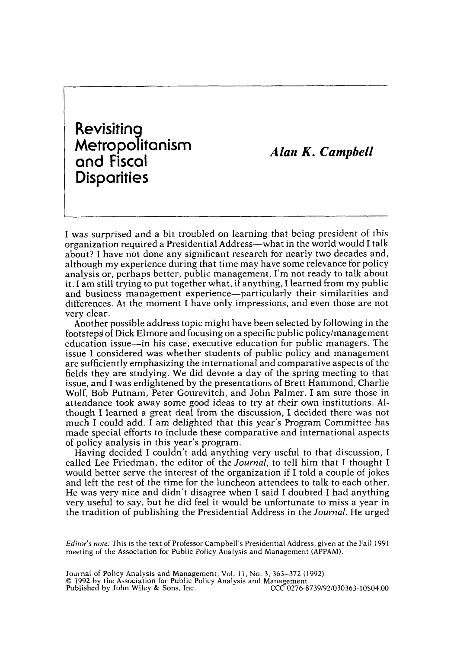# **Revisiting Metro pol i tan ism and Fiscal Disparities**

*Alan K. Campbell* 

I was surprised and a bit troubled on learning that being president of this organization required a Presidential Address-what in the world would I talk about? I have not done any significant research for nearly two decades and, although my experience during that time may have some relevance for policy analysis or, perhaps better, public management, I'm not ready to talk about it. **I** am still trying to put together what, if anything, I learned from my public and business management experience-particularly their similarities and differences. At the moment I have only impressions, and even those are not very clear.

Another possible address topic might have been selected by following in the footsteps of Dick Elmore and focusing on a specific public policy/management education issue-in his case, executive education for public managers. The issue I considered was whether students of public policy and management are sufficiently emphasizing the international and comparative aspects of the fields they are studying. We did devote a day of the spring meeting to that issue, and I was enlightened by the presentations of Brett Hammond, Charlie Wolf, Bob Putnam, Peter Gourevitch, and John Palmer. I am sure those in attendance took away some good ideas to try at their own institutions. Although I learned a great deal from the discussion, I decided there was not much I could add. I am delighted that this year's Program Committee has made special efforts to include these comparative and international aspects of policy analysis in this year's program.

Having decided I couldn't add anything very useful to that discussion, I called Lee Friedman, the editor of the *Journal,* to tell him that I thought I would better serve the interest of the organization if I told a couple of jokes and left the rest of the time for the luncheon attendees to talk to each other. He was very nice and didn't disagree when I said I doubted I had anything very useful to say, but he did feel it would be unfortunate to miss a year in the tradition of publishing the Presidential Address in the *Journal.* He urged

*Editor's note:* This is the text of Professor Campbell's Presidential Address, given at the Fall **1991**  meeting of the Association for Public Policy Analysis and Management (APPAM).

Journal **of** Policy Anaiysis and Management. **Vol. 11,** No. **3, 363-372 (1992)**  *0* **1992** b the Association for Public Policy Analysis and Management Published by John Wiley & Sons, Inc.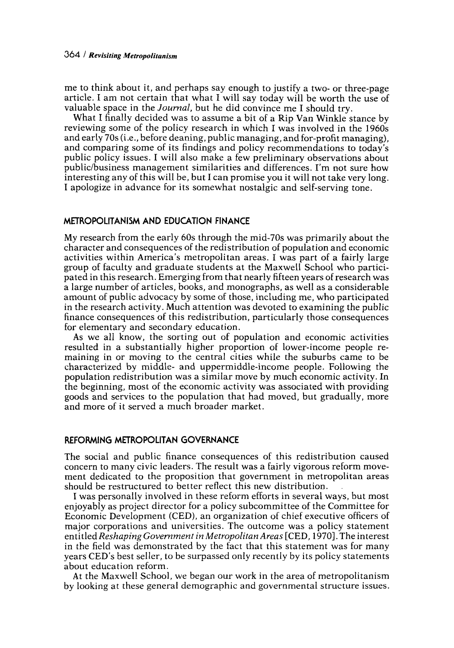me to think about it, and perhaps say enough to justify a two- or three-page article. I am not certain that what I will say today will be worth the use of valuable space in the *Journal,* but he did convince me I should try.

What I finally decided was to assume a bit of a Rip Van Winkle stance by reviewing some of the policy research in which I was involved in the 1960s and early 70s (i .e., before deaning, public managing, and for-profit managing), and comparing some of its findings and policy recommendations to today's public policy issues. I will also make a few preliminary observations about public/business management similarities and differences. I'm not sure how interesting any of this will be, but I can promise you it will not take very long. I apologize in advance for its somewhat nostalgic and self-serving tone.

#### **METROPOLITANISM AND EDUCATION FINANCE**

My research from the early 60s through the mid-70s was primarily about the character and consequences of the redistribution of population and economic activities within America's metropolitan areas. I was part of a fairly large group of faculty and graduate students at the Maxwell School who participated in this research. Emerging from that nearly fifteen years of research was a large number of articles, books, and monographs, as well as a considerable amount of public advocacy by some of those, including me, who participated in the research activity. Much attention was devoted to examining the public finance consequences of this redistribution, particularly those consequences for elementary and secondary education.

As we all know, the sorting out of population and economic activities resulted in a substantially higher proportion of lower-income people remaining in or moving to the central cities while the suburbs came to be characterized by middle- and uppermiddie-income people. Following the population redistribution was a similar move by much economic activity. In the beginning, most of the economic activity was associated with providing goods and services to the population that had moved, but gradually, more and more of it served a much broader market.

## **REFORMING METROPOLITAN GOVERNANCE**

The social and public finance consequences of this redistribution caused concern to many civic leaders. The result was a fairly vigorous reform movement dedicated to the proposition that government in metropolitan areas should be restructured to better reflect this new distribution.

I was personally involved in these reform efforts in several ways, but most enjoyably as project director for a policy subcommittee of the Committee for Economic Development (CEDI, an organization of chief executive officers of major corporations and universities. The outcome was a policy statement entitled Reshaping Government in Metropolitan Areas [CED, 1970]. The interest in the field was demonstrated by the fact that this statement was for many years CED's best seller, to be surpassed only recently by its policy statements about education reform.

At the Maxwell School, we began our work in the area of metropolitanism by looking at these general demographic and governmental structure issues.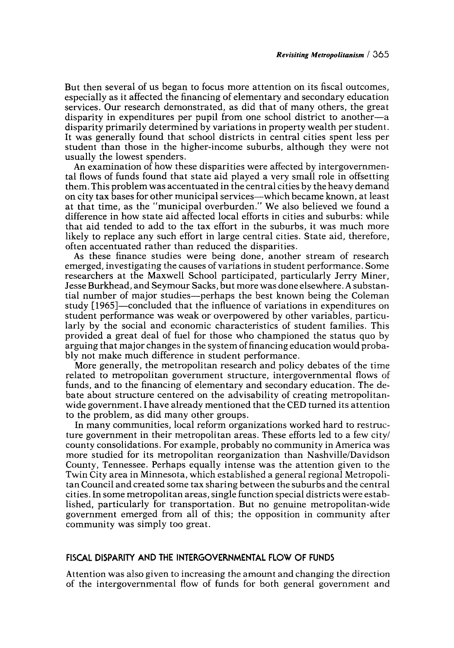But then several of us began to focus more attention on its fiscal outcomes, especially as it affected the financing of elementary and secondary education services. Our research demonstrated, as did that of many others, the great disparity in expenditures per pupil from one school district to another-a disparity primarily determined by variations in property wealth per student. It was generally found that school districts in central cities spent less per student than those in the higher-income suburbs, although they were not usually the lowest spenders.

**An** examination of how these disparities were affected by intergovernmental flows of funds found that state aid played a very small role in offsetting them. This problem was accentuated in the central cities by the heavy demand on city tax bases for other municipal services-which became known, at least at that time, as the "municipal overburden." We also believed we found a difference in how state aid affected local efforts in cities and suburbs: while that aid tended to add to the tax effort in the suburbs, it was much more likely to replace any such effort in large central cities. State aid, therefore, often accentuated rather than reduced the disparities.

**As** these finance studies were being done, another stream of research emerged, investigating the causes of variations in student performance. Some researchers at the Maxwell School participated, particularly Jerry Miner, Jesse Burkhead, and Seymour Sacks, but more was done elsewhere. **A** substantial number of major studies-perhaps the best known being the Coleman study [ 19651-concluded that the influence of variations in expenditures on student performance was weak or overpowered by other variables, particularly by the social and economic characteristics of student families. This provided a great deal of fuel for those who championed the status quo by arguing that major changes in the system of financing education would probably not make much difference in student performance.

More generally, the metropolitan research and policy debates of the time related to metropolitan government structure, intergovernmental flows of funds, and to the financing of elementary and secondary education. The debate about structure centered on the advisability of creating metropolitanwide government. I have already mentioned that the CED turned its attention to the problem, as did many other groups.

In many communities, local reform organizations worked hard to restructure government in their metropolitan areas. These efforts led to a few city/ county consolidations. For example, probably no community in America was more studied for its metropolitan reorganization than Nashville/Davidson County, Tennessee. Perhaps equally intense was the attention given to the Twin City area in Minnesota, which established a general regional Metropolitan Council and created some tax sharing between the suburbs and the central cities. In some metropolitan areas, single function special districts were established, particularly for transportation. But no genuine metropolitan-wide government emerged from all of this: the opposition in community after community was simply too great.

### FISCAL DISPARITY AND THE INTERGOVERNMENTAL FLOW OF FUNDS

Attention was also given to increasing the amount and changing the direction of the intergovernmental flow of funds for both genera1 government and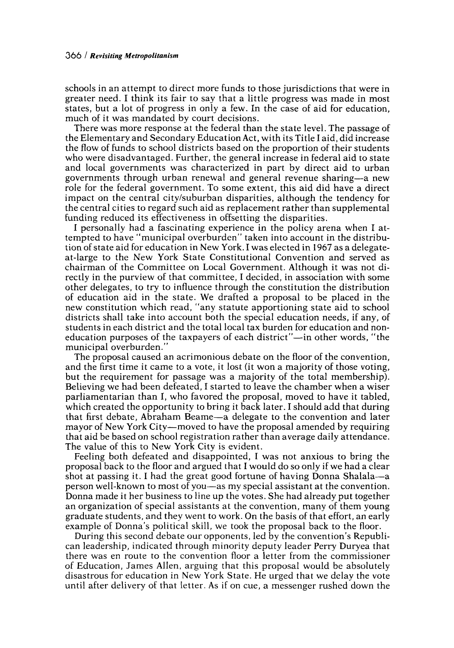schools in an attempt to direct more funds to those jurisdictions that were in greater need. I think its fair to say that a little progress was made in most states, but a lot of progress in only a few. In the case of aid for education, much of it was mandated by court decisions.

There was more response at the federal than the state level. The passage of the Elementary and Secondary Education Act, with its Title I aid, did increase the flow of funds to school districts based on the proportion of their students who were disadvantaged. Further, the general increase in federal aid to state and local governments was characterized in part by direct aid to urban governments through urban renewal and general revenue sharing—a new role for the federal government. To some extent, this aid did have a direct impact on the central citykuburban disparities, although the tendency for the central cities to regard such aid as replacement rather than supplemental funding reduced its effectiveness in offsetting the disparities.

I personally had a fascinating experience in the policy arena when I attempted to have "municipal overburden" taken into account in the distribution of state aid for education in New York. I was elected in 1967 as a delegateat-large to the New York State Constitutional Convention and served as chairman of the Committee on Local Government. Although it was not directly in the purview of that committee, I decided, in association with some other delegates, to try to influence through the constitution the distribution of education aid in the state. We drafted a proposal to be placed in the new constitution which read, "any statute apportioning state aid to school districts shall take into account both the special education needs, if any, of students in each district and the total local tax burden for education and noneducation purposes of the taxpayers of each district"—in other words, "the municipal overburden."

The proposal caused an acrimonious debate on the floor of the convention, and the first time it came to a vote, it lost (it won a majority of those voting, but the requirement for passage was a majority of the total membership). Believing we had been defeated, I started to leave the chamber when a wiser parliamentarian than I, who favored the proposal, moved to have it tabled, which created the opportunity to bring it back later. I should add that during that first debate, Abraham Beame-a delegate *to* the convention and later mayor of New York City-moved to have the proposal amended by requiring that aid be based on school registration rather than average daily attendance. The value of this to New York City is evident.

Feeling both defeated and disappointed, I was not anxious to bring the proposal back to the floor and argued that I would do so only if we had a clear shot at passing it. I had the great good fortune of having Donna Shalala-a person well-known to most of you-as my special assistant at the convention. Donna made it her business to line up the votes. She had already put together an organization of special assistants at the convention, many of them young graduate students, and they went to work. On the basis of that effort, an early example of Donna's political skill, we took the proposal back to the floor.

During this second debate our opponents, led by the convention's Republican leadership, indicated through minority deputy leader Perry Duryea that there was en route to the convention floor a letter from the commissioner of Education, James Allen, arguing that this proposal would be absolutely disastrous for education in New York State. He urged that we delay the vote until after delivery of that letter. **As** if on cue, a messenger rushed down the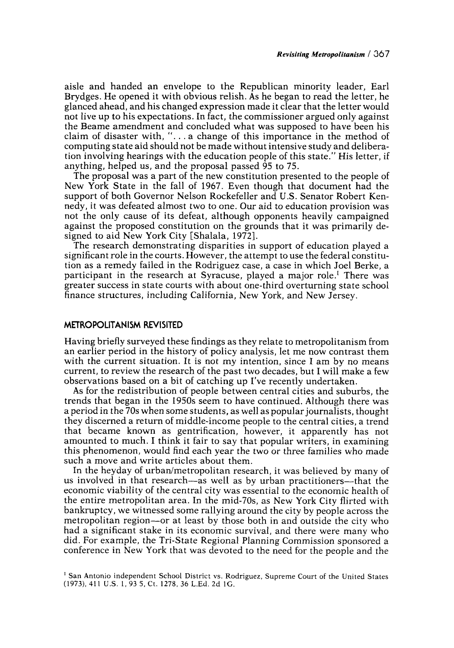aisle and handed an envelope to the Republican minority leader, Earl Brydges. He opened it with obvious relish. As he began to read the letter, he glanced ahead, and his changed expression made it clear that the letter would not live up to his expectations. In fact, the commissioner argued only against the Beame amendment and concluded what was supposed to have been his claim of disaster with, ". . . a change of this importance in the method of computing state aid should not be made without intensive study and deliberation involving hearings with the education people of this state." His letter, if anything, helped us, and the proposal passed 95 to *75.* 

The proposal was a part of the new constitution presented to the people of New York State in the fall of 1967. Even though that document had the support of both Governor Nelson Rockefeller and **US.** Senator Robert Kennedy, it was defeated almost two to one. Our aid to education provision was not the only cause of its defeat, although opponents heavily campaigned against the proposed constitution on the grounds that it was primarily designed to aid New York City [Shalala, 1972].

The research demonstrating disparities in support of education played a significant role in the courts. However, the attempt to use the federal constitution as a remedy failed in the Rodriguez case, a case in which Joel Berke, a participant in the research at Syracuse, played a major role.' There was greater success in state courts with about one-third overturning state school finance structures, including California, New York, and New Jersey.

### **MH'ROPOLITANISM REVISITED**

Having briefly surveyed these findings as they relate to metropolitanism from an earlier period in the history of policy analysis, let me now contrast them with the current situation. It is not my intention, since I am by no means current, to review the research of the past two decades, but I will make a few observations based on a bit of catching up I've recently undertaken.

**As** for the redistribution of people between central cities and suburbs, the trends that began in the 1950s seem to have continued. Although there was a period in the 70s when some students, as well as popular journalists, thought they discerned a return of middle-income people to the central cities, a trend that became known as gentrification, however, it apparently has not amounted to much. I think it fair to say that popular writers, in examining this phenomenon, would find each year the two or three families who made such a move and write articles about them.

In the heyday of urban/metropolitan research, it was believed by many of us involved in that research-as well as by urban practitioners-that the economic viability of the central city was essential to the economic health of the entire metropolitan area. In the mid-70s, as New York City flirted with bankruptcy, we witnessed some rallying around the city by people across the metropolitan region-or at least by those both in and outside the city who had a significant stake in its economic survival, and there were many who did. For example, the Tri-State Regional Planning Commission sponsored *a*  conference in New York that was devoted to the need for the people and the

<sup>&#</sup>x27; San Antonio independent School District **vs.** Rodriguez, Supreme Court of the United States (1973). 411 US. 1, 93 5, Ct. **1278,** 36 L.Ed. 2d lC.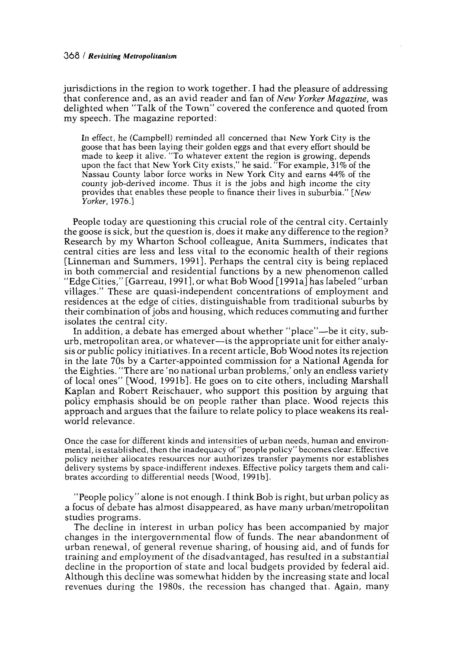jurisdictions in the region to work together. I had the pleasure of addressing that conference and, as an avid reader and fan of *New Yorker Magazine,* was delighted when "Talk of the Town" covered the conference and quoted from my speech. The magazine reported:

In effect, he (Campbell) reminded all concerned that New York City is the goose that has been laying their golden eggs and that every effort should be made to keep it alive. "To whatever extent the region is growing, depends upon the fact that New York City exists," he said. "For example, **31%** of the Nassau County labor force works in New York City and earns 44% of the county job-derived income. Thus it is the jobs and high income the city provides that enables these people to finance their lives in suburbia." *[New Yorker,* 1976 .]

People today are questioning this crucial role of the central city. Certainly the goose is sick, but the question is, does it make any difference to the region? Research by my Wharton School colleague, Anita Summers, indicates that central cities are less and less vital to the economic health of their regions [Linneman and Summers, 19911. Perhaps the central city is being replaced in both commercial and residential functions by a new phenomenon called "Edge Cities," [Garreau, 19911, or what Bob Wood [1991a] has 1abeled"urban villages." These are quasi-independent concentrations of employment and residences at the edge of cities, distinguishable from traditional suburbs by their combination of jobs and housing, which reduces commuting and further isolates the central city.

In addition, a debate has emerged about whether "place"—be it city, suburb, metropolitan area, or whatever-is the appropriate unit for either analysis or public policy initiatives. In a recent article, Bob Wood notes its rejection in the late 70s by a Carter-appointed commission for a National Agenda for the Eighties, "There are 'no national urban problems,' only an endless variety of local ones" [Wood, 1991bl. He goes on to cite others, including Marshall Kaplan and Robert Reischauer, who support this position by arguing that policy emphasis should be on people rather than place. Wood rejects this approach and argues that the failure to relate policy to place weakens its realworld relevance.

Once the case for different kinds and intensities of urban needs, human and environmental, is established, then the inadequacy of "people policy" becomes clear. Effective policy neither allocates resuurces nor authorizes transfer payments nor establishes delivery systems by space-indifferent indexes. Effective policy targets them and calibrates according to differential needs [Wood, 1991bl.

"People policy" alone is not enough. I think Bob is right, but urban policy as a focus of debate has almost disappeared, as have many urban/metropolitan studies programs.

The decline in interest in urban policy has been accompanied by major changes in the intergovernmental flow of funds. The near abandonment of urban renewal, of general revenue sharing, of housing aid, and of funds for training and employment of the disadvantaged, has resulted in a substantial decline in the proportion of state and local budgets provided by federal aid. Although this decline was somewhat hidden by the increasing state and local revenues during the 1980s. the recession has changed that. Again, many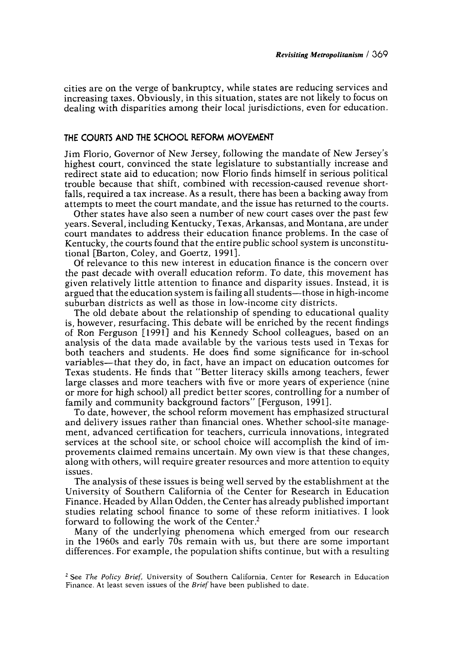cities are on the verge of bankruptcy, while states are reducing services and increasing taxes. Obviously, in this situation, states are not likely to focus on dealing with disparities among their local jurisdictions, even for education.

# **THE COURTS AND THE SCHOOL REFORM MOVEMENT**

Jim Florio, Governor of New Jersey, following the mandate of New Jersey's highest court, convinced the state legislature to substantially increase and redirect state aid to education; now Florio finds himself in serious political trouble because that shift, combined with recession-caused revenue shortfalls, required a tax increase. As a result, there has been a backing away from attempts to meet the court mandate, and the issue has returned to the courts.

Other states have also seen a number of new court cases over the past few years. Several, including Kentucky, Texas, Arkansas, and Montana, are under court mandates to address their education finance problems. In the case of Kentucky, the courts found that the entire public school system is unconstitutional [Barton, Coley, and Goertz, 1991].

Of relevance to this new interest in education finance is the concern over the past decade with overall education reform. To date, this movement has given relatively little attention to finance and disparity issues. Instead, it is argued that the education system is failing all students—those in high-income suburban districts as well as those in low-income city districts.

The old debate about the relationship of spending to educational quality is, however, resurfacing. This debate will be enriched by the recent findings of Ron Ferguson [ 19911 and his Kennedy School colleagues, based on an analysis of the data made available by the various tests used in Texas for both teachers and students. He does find some significance for in-school variables—that they do, in fact, have an impact on education outcomes for Texas students. He finds that "Better literacy skills among teachers, fewer large classes and more teachers with five or more years of experience (nine or more for high school) all predict better scores, controlling for a number of family and community background factors" [Ferguson, 1991].

To date, however, the school reform movement has emphasized structural and delivery issues rather than financial ones. Whether school-site management, advanced certification for teachers, curricula innovations, integrated services at the school site, or school choice wilI accomplish the kind of improvements claimed remains uncertain. My own view is that these changes, along with others, will require greater resources and more attention to equity issues.

The analysis of these issues is being well served by the establishment at the University of Southern California of the Center for Research in Education Finance. Headed by Allan Odden, the Center has already published important studies relating school finance to some of these reform initiatives. I look forward to following the work of the Center?

Many of the underlying phenomena which emerged from our research in the 1960s and early **70s** remain with us, but there are some important differences. For example, the population shifts continue, but with a resulting

<sup>&</sup>lt;sup>2</sup> See *The Policy Brief*, University of Southern California, Center for Research in Education Finance. At least seven issues of the *Brief* have been published to date.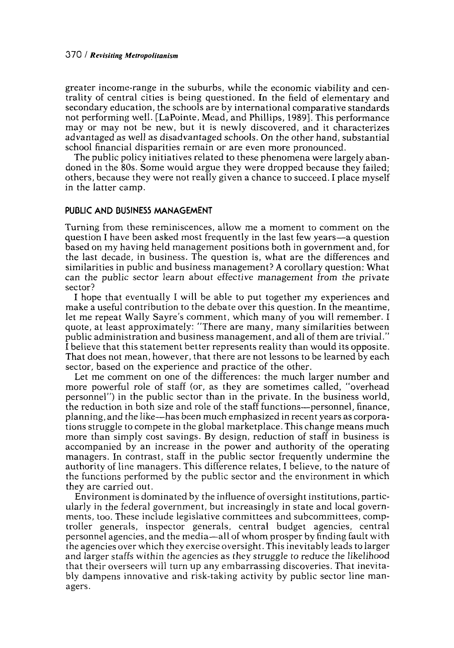greater income-range in the suburbs, while the economic viability and centrality of central cities is being questioned. In the field of elementary and secondary education, the schools are by international comparative standards not performing well. [LaPointe, Mead, and Phillips, 19891. This performance may or may not be new, but it is newly discovered, and it characterizes advantaged *as* well as disadvantaged schools. On the other hand, substantial school financial disparities remain or are even more pronounced.

The public policy initiatives related to these phenomena were largely abandoned in the 80s. Some would argue they were dropped because they failed; others, because they were not really given a chance to succeed. I place myself in the latter camp.

## **PUBLIC AND BUSINESS MANAGEMENT**

Turning from these reminiscences, allow me a moment to comment on the question I have been asked most frequently in the last few years-a question based on my having held management positions both in government and, for the last decade, in business. The question is, what are the differences and similarities in public and business management? **A** corollary question: What can the public sector learn about effective management from the private sector?

I hope that eventually I will be able to put together my experiences and make a useful contribution to the debate over this question. In the meantime, let me repeat Wally Sayre's comment, which many of you will remember. I quote, at least approximately: "There are many, many similarities between public administration and business management, and all of them are trivial." I believe that this statement better represents reality than would its opposite. That does not mean, however, that there are not lessons to be learned by each sector, based on the experience and practice of the other.

Let me comment on one of the differences: the much larger number and more powerful role of staff (or, as they are sometimes called, "overhead personnel") in the public sector than in the private. In the business world, the reduction in bath size and role of the staff functions-personnel, finance, planning, and the like-has been much emphasized in recent years as corporations struggle to compete in the global marketplace. This change means much more than simply cost savings. By design, reduction of staff in business is accompanied by an increase in the power and authority of the operating managers. In contrast, staff in the public sector frequently undermine the authority of line managers. This difference relates, I beIieve, to the nature of the functions performed by the public sector and the environment in which they are carried out.

Environment is dominated by the influence of oversight institutions, particularly in the federal government, but increasingly in state and local governments, too. These include legislative committees and subcommittees, comptroller generals, inspector generals, central budget agencies, central personnel agencies, and the media-all of whom prosper by finding fault with the agencies over which they exercise oversight. This inevitably leads to larger and larger staffs within the agencies as they struggle to reduce the likelihood that their overseers will turn up any embarrassing discoveries. That inevitably dampens innovative and risk-taking activity by public sector line managers.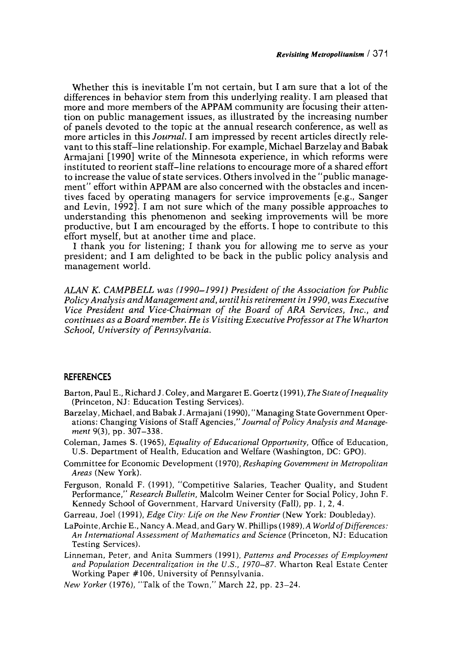Whether this is inevitable I'm not certain, but I am sure that a lot of the differences in behavior stem from this underlying reality. I am pleased that more and more members of the APPAM community are focusing their attention on public management issues, as illustrated by the increasing number of panels devoted to the topic at the annual research conference, as well as more articles in this *JournaI.* I am impressed by recent articles directly relevant to this staff-line relationship. For example, Michael Barzelay and Babak Armajani *[1990]* write of the Minnesota experience, in which reforms were instituted to reorient staff-line relations to encourage more of a shared effort to increase the value of state services. Others involved in the "public management" effort within APPAM are also concerned with the obstacles and incentives faced by operating managers for service improvements [e.g., Sanger and Levin, 19921. I am not sure which of the many possible approaches to understanding this phenomenon and seeking improvements will be more productive, but I am encouraged by the efforts. I hope to contribute to this effort myself, but at another time and place.

I thank you for listening; I thank you for allowing me to serve as your president; and **I** am delighted to be back in the public policy analysis and management world.

*ALAN K. CAMPBELL was (1990-1991) President of the Association for Public Policy Analysis and Management and, until his retirement in 1990, was Executive Vice President and Vice-chairman of the Board of ARA Services, Inc., and continues as a Board member. He is Visiting Executive Professor at The Wharton School, University of Pennsylvania,* 

#### **REFERENCES**

- Barton, Paul E., Richard J. Coley, and Margaret E. Goertz (1991), *The State oflnequality*  (Princeton, NJ: Education Testing Services).
- Barzelay, Michael, and Babak J. Armajani *(1990),* "Managing State Government Operations: Changing Visions *of* Staff Agencies," *Journal of Policy Analysis and Management 9(3),* pp. *307-338.*
- Coleman, James *S. (1969, Equality of Educational Opportunity,* Office of Education, U.S. Department of Health, Education and Welfare (Washington, DC: GPO).
- Committee for Economic Development *(19701, Reshaping Government in Metropolitan Areas* (New York).
- Ferguson, Ronald F. *(1991).* "Competitive Salaries, Teacher Quality, and Student Performance," *Research Bulletin,* Malcolm Weiner Center for Social Policy, John F. Kennedy School of Government, Harvard University (Fall), pp. 1, *2,* 4.
- Garreau, Joel (1991), *Edge City: Life on the New Frontier* (New York: Doubleday).
- LaPointe, Archie E., Nancy A. Mead, and Gary W. Phillips (1989), A World of Differences: *An International Assessment of Mathematics and Science* (Princeton, NJ: Education Testing Services).
- Linneman, Peter, and Anita Summers *(1991). Patterns and Processes of Employment and Population Decentralization in the US., 1970-87.* Wharton Real Estate Center Working Paper # *106,* University of Pennsylvania.
- *New Yorker* (1976), "Talk of the Town," March 22, pp. 23–24.